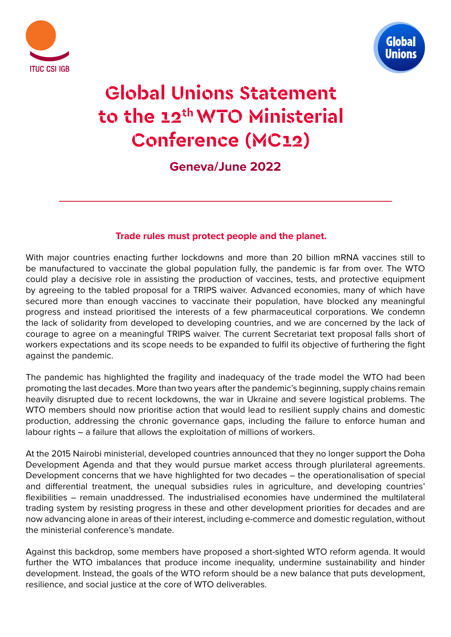



# **Global Unions Statement to the 12th WTO Ministerial Conference (MC12)**

**Geneva/June 2022**

## **Trade rules must protect people and the planet.**

With major countries enacting further lockdowns and more than 20 billion mRNA vaccines still to be manufactured to vaccinate the global population fully, the pandemic is far from over. The WTO could play a decisive role in assisting the production of vaccines, tests, and protective equipment by agreeing to the tabled proposal for a TRIPS waiver. Advanced economies, many of which have secured more than enough vaccines to vaccinate their population, have blocked any meaningful progress and instead prioritised the interests of a few pharmaceutical corporations. We condemn the lack of solidarity from developed to developing countries, and we are concerned by the lack of courage to agree on a meaningful TRIPS waiver. The current Secretariat text proposal falls short of workers expectations and its scope needs to be expanded to fulfil its objective of furthering the fight against the pandemic.

The pandemic has highlighted the fragility and inadequacy of the trade model the WTO had been promoting the last decades. More than two years after the pandemic's beginning, supply chains remain heavily disrupted due to recent lockdowns, the war in Ukraine and severe logistical problems. The WTO members should now prioritise action that would lead to resilient supply chains and domestic production, addressing the chronic governance gaps, including the failure to enforce human and labour rights – a failure that allows the exploitation of millions of workers.

At the 2015 Nairobi ministerial, developed countries announced that they no longer support the Doha Development Agenda and that they would pursue market access through plurilateral agreements. Development concerns that we have highlighted for two decades – the operationalisation of special and differential treatment, the unequal subsidies rules in agriculture, and developing countries' flexibilities – remain unaddressed. The industrialised economies have undermined the multilateral trading system by resisting progress in these and other development priorities for decades and are now advancing alone in areas of their interest, including e-commerce and domestic regulation, without the ministerial conference's mandate.

Against this backdrop, some members have proposed a short-sighted WTO reform agenda. It would further the WTO imbalances that produce income inequality, undermine sustainability and hinder development. Instead, the goals of the WTO reform should be a new balance that puts development, resilience, and social justice at the core of WTO deliverables.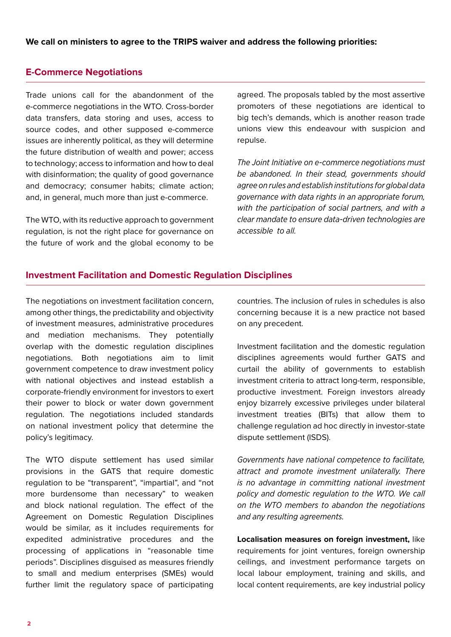## **E-Commerce Negotiations**

Trade unions call for the abandonment of the e-commerce negotiations in the WTO. Cross-border data transfers, data storing and uses, access to source codes, and other supposed e-commerce issues are inherently political, as they will determine the future distribution of wealth and power; access to technology; access to information and how to deal with disinformation; the quality of good governance and democracy; consumer habits; climate action; and, in general, much more than just e-commerce.

The WTO, with its reductive approach to government regulation, is not the right place for governance on the future of work and the global economy to be

agreed. The proposals tabled by the most assertive promoters of these negotiations are identical to big tech's demands, which is another reason trade unions view this endeavour with suspicion and repulse.

*The Joint Initiative on e-commerce negotiations must be abandoned. In their stead, governments should agree on rules and establish institutions for global data governance with data rights in an appropriate forum, with the participation of social partners, and with a clear mandate to ensure data-driven technologies are accessible to all.* 

## **Investment Facilitation and Domestic Regulation Disciplines**

The negotiations on investment facilitation concern, among other things, the predictability and objectivity of investment measures, administrative procedures and mediation mechanisms. They potentially overlap with the domestic regulation disciplines negotiations. Both negotiations aim to limit government competence to draw investment policy with national objectives and instead establish a corporate-friendly environment for investors to exert their power to block or water down government regulation. The negotiations included standards on national investment policy that determine the policy's legitimacy.

The WTO dispute settlement has used similar provisions in the GATS that require domestic regulation to be "transparent", "impartial", and "not more burdensome than necessary" to weaken and block national regulation. The effect of the Agreement on Domestic Regulation Disciplines would be similar, as it includes requirements for expedited administrative procedures and the processing of applications in "reasonable time periods". Disciplines disguised as measures friendly to small and medium enterprises (SMEs) would further limit the regulatory space of participating countries. The inclusion of rules in schedules is also concerning because it is a new practice not based on any precedent.

Investment facilitation and the domestic regulation disciplines agreements would further GATS and curtail the ability of governments to establish investment criteria to attract long-term, responsible, productive investment. Foreign investors already enjoy bizarrely excessive privileges under bilateral investment treaties (BITs) that allow them to challenge regulation ad hoc directly in investor-state dispute settlement (ISDS).

*Governments have national competence to facilitate, attract and promote investment unilaterally. There is no advantage in committing national investment policy and domestic regulation to the WTO. We call on the WTO members to abandon the negotiations and any resulting agreements.*

**Localisation measures on foreign investment,** like requirements for joint ventures, foreign ownership ceilings, and investment performance targets on local labour employment, training and skills, and local content requirements, are key industrial policy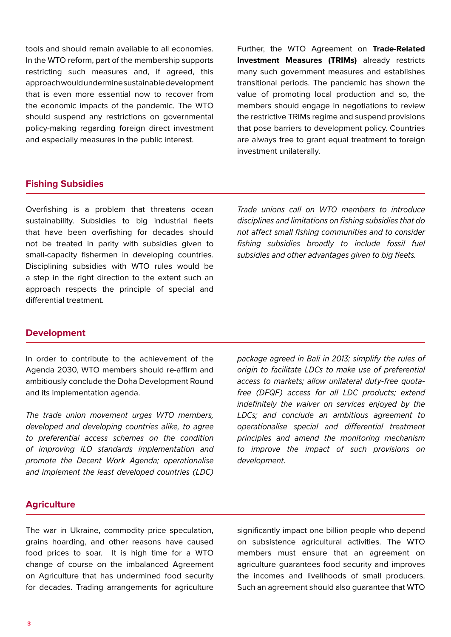tools and should remain available to all economies. In the WTO reform, part of the membership supports restricting such measures and, if agreed, this approach would undermine sustainable development that is even more essential now to recover from the economic impacts of the pandemic. The WTO should suspend any restrictions on governmental policy-making regarding foreign direct investment and especially measures in the public interest.

Further, the WTO Agreement on **Trade-Related Investment Measures (TRIMs)** already restricts many such government measures and establishes transitional periods. The pandemic has shown the value of promoting local production and so, the members should engage in negotiations to review the restrictive TRIMs regime and suspend provisions that pose barriers to development policy. Countries are always free to grant equal treatment to foreign investment unilaterally.

#### **Fishing Subsidies**

Overfishing is a problem that threatens ocean sustainability. Subsidies to big industrial fleets that have been overfishing for decades should not be treated in parity with subsidies given to small-capacity fishermen in developing countries. Disciplining subsidies with WTO rules would be a step in the right direction to the extent such an approach respects the principle of special and differential treatment.

*Trade unions call on WTO members to introduce disciplines and limitations on fishing subsidies that do not affect small fishing communities and to consider fishing subsidies broadly to include fossil fuel subsidies and other advantages given to big fleets.*

#### **Development**

In order to contribute to the achievement of the Agenda 2030, WTO members should re-affirm and ambitiously conclude the Doha Development Round and its implementation agenda.

*The trade union movement urges WTO members, developed and developing countries alike, to agree to preferential access schemes on the condition of improving ILO standards implementation and promote the Decent Work Agenda; operationalise and implement the least developed countries (LDC)* 

*package agreed in Bali in 2013; simplify the rules of origin to facilitate LDCs to make use of preferential access to markets; allow unilateral duty-free quotafree (DFQF) access for all LDC products; extend indefinitely the waiver on services enjoyed by the LDCs; and conclude an ambitious agreement to operationalise special and differential treatment principles and amend the monitoring mechanism to improve the impact of such provisions on development.*

#### **Agriculture**

The war in Ukraine, commodity price speculation, grains hoarding, and other reasons have caused food prices to soar. It is high time for a WTO change of course on the imbalanced Agreement on Agriculture that has undermined food security for decades. Trading arrangements for agriculture

significantly impact one billion people who depend on subsistence agricultural activities. The WTO members must ensure that an agreement on agriculture guarantees food security and improves the incomes and livelihoods of small producers. Such an agreement should also guarantee that WTO